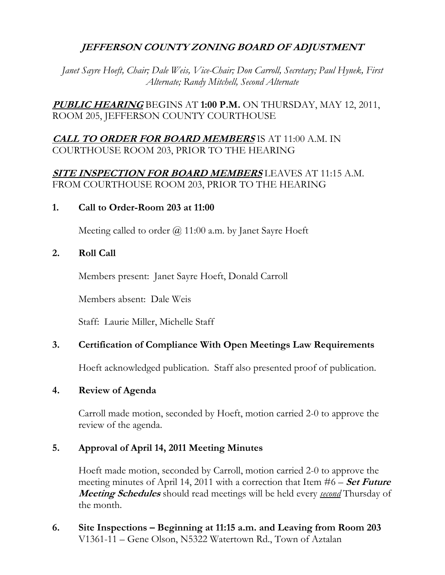# **JEFFERSON COUNTY ZONING BOARD OF ADJUSTMENT**

*Janet Sayre Hoeft, Chair; Dale Weis, Vice-Chair; Don Carroll, Secretary; Paul Hynek, First Alternate; Randy Mitchell, Second Alternate* 

**PUBLIC HEARING** BEGINS AT **1:00 P.M.** ON THURSDAY, MAY 12, 2011, ROOM 205, JEFFERSON COUNTY COURTHOUSE

# **CALL TO ORDER FOR BOARD MEMBERS** IS AT 11:00 A.M. IN COURTHOUSE ROOM 203, PRIOR TO THE HEARING

# **SITE INSPECTION FOR BOARD MEMBERS** LEAVES AT 11:15 A.M. FROM COURTHOUSE ROOM 203, PRIOR TO THE HEARING

### **1. Call to Order-Room 203 at 11:00**

Meeting called to order  $\omega$  11:00 a.m. by Janet Sayre Hoeft

## **2. Roll Call**

Members present: Janet Sayre Hoeft, Donald Carroll

Members absent: Dale Weis

Staff: Laurie Miller, Michelle Staff

## **3. Certification of Compliance With Open Meetings Law Requirements**

Hoeft acknowledged publication. Staff also presented proof of publication.

## **4. Review of Agenda**

Carroll made motion, seconded by Hoeft, motion carried 2-0 to approve the review of the agenda.

## **5. Approval of April 14, 2011 Meeting Minutes**

 Hoeft made motion, seconded by Carroll, motion carried 2-0 to approve the meeting minutes of April 14, 2011 with a correction that Item #6 – **Set Future Meeting Schedules** should read meetings will be held every *second* Thursday of the month.

**6. Site Inspections – Beginning at 11:15 a.m. and Leaving from Room 203**  V1361-11 – Gene Olson, N5322 Watertown Rd., Town of Aztalan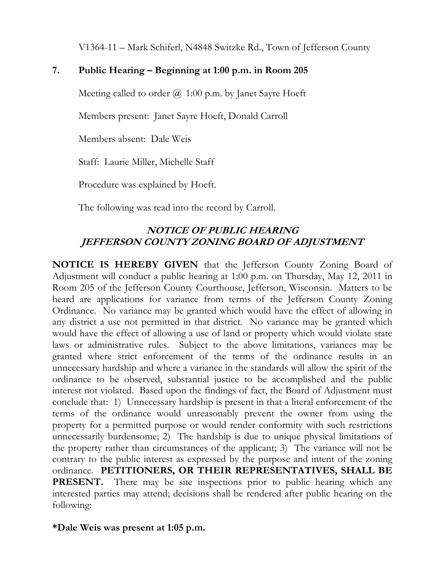V1364-11 – Mark Schiferl, N4848 Switzke Rd., Town of Jefferson County

# **7. Public Hearing – Beginning at 1:00 p.m. in Room 205**

Meeting called to order  $\omega$  1:00 p.m. by Janet Sayre Hoeft

Members present: Janet Sayre Hoeft, Donald Carroll

Members absent: Dale Weis

Staff: Laurie Miller, Michelle Staff

Procedure was explained by Hoeft.

The following was read into the record by Carroll.

# **NOTICE OF PUBLIC HEARING JEFFERSON COUNTY ZONING BOARD OF ADJUSTMENT**

**NOTICE IS HEREBY GIVEN** that the Jefferson County Zoning Board of Adjustment will conduct a public hearing at 1:00 p.m. on Thursday, May 12, 2011 in Room 205 of the Jefferson County Courthouse, Jefferson, Wisconsin. Matters to be heard are applications for variance from terms of the Jefferson County Zoning Ordinance. No variance may be granted which would have the effect of allowing in any district a use not permitted in that district. No variance may be granted which would have the effect of allowing a use of land or property which would violate state laws or administrative rules. Subject to the above limitations, variances may be granted where strict enforcement of the terms of the ordinance results in an unnecessary hardship and where a variance in the standards will allow the spirit of the ordinance to be observed, substantial justice to be accomplished and the public interest not violated. Based upon the findings of fact, the Board of Adjustment must conclude that: 1) Unnecessary hardship is present in that a literal enforcement of the terms of the ordinance would unreasonably prevent the owner from using the property for a permitted purpose or would render conformity with such restrictions unnecessarily burdensome; 2) The hardship is due to unique physical limitations of the property rather than circumstances of the applicant; 3) The variance will not be contrary to the public interest as expressed by the purpose and intent of the zoning ordinance. **PETITIONERS, OR THEIR REPRESENTATIVES, SHALL BE PRESENT.** There may be site inspections prior to public hearing which any interested parties may attend; decisions shall be rendered after public hearing on the following:

## **\*Dale Weis was present at 1:05 p.m.**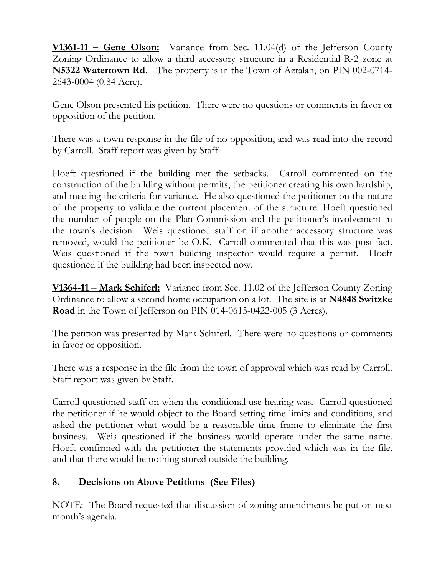**V1361-11 – Gene Olson:** Variance from Sec. 11.04(d) of the Jefferson County Zoning Ordinance to allow a third accessory structure in a Residential R-2 zone at **N5322 Watertown Rd.** The property is in the Town of Aztalan, on PIN 002-0714- 2643-0004 (0.84 Acre).

Gene Olson presented his petition. There were no questions or comments in favor or opposition of the petition.

There was a town response in the file of no opposition, and was read into the record by Carroll. Staff report was given by Staff.

Hoeft questioned if the building met the setbacks. Carroll commented on the construction of the building without permits, the petitioner creating his own hardship, and meeting the criteria for variance. He also questioned the petitioner on the nature of the property to validate the current placement of the structure. Hoeft questioned the number of people on the Plan Commission and the petitioner's involvement in the town's decision. Weis questioned staff on if another accessory structure was removed, would the petitioner be O.K. Carroll commented that this was post-fact. Weis questioned if the town building inspector would require a permit. Hoeft questioned if the building had been inspected now.

**V1364-11 – Mark Schiferl:** Variance from Sec. 11.02 of the Jefferson County Zoning Ordinance to allow a second home occupation on a lot. The site is at **N4848 Switzke Road** in the Town of Jefferson on PIN 014-0615-0422-005 (3 Acres).

The petition was presented by Mark Schiferl. There were no questions or comments in favor or opposition.

There was a response in the file from the town of approval which was read by Carroll. Staff report was given by Staff.

Carroll questioned staff on when the conditional use hearing was. Carroll questioned the petitioner if he would object to the Board setting time limits and conditions, and asked the petitioner what would be a reasonable time frame to eliminate the first business. Weis questioned if the business would operate under the same name. Hoeft confirmed with the petitioner the statements provided which was in the file, and that there would be nothing stored outside the building.

# **8. Decisions on Above Petitions (See Files)**

NOTE: The Board requested that discussion of zoning amendments be put on next month's agenda.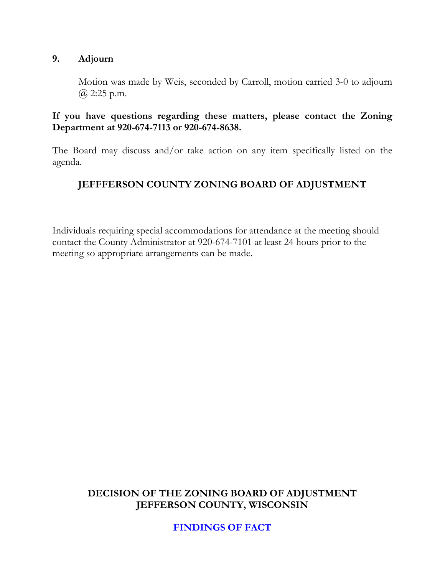### **9. Adjourn**

Motion was made by Weis, seconded by Carroll, motion carried 3-0 to adjourn  $(a)$  2:25 p.m.

### **If you have questions regarding these matters, please contact the Zoning Department at 920-674-7113 or 920-674-8638.**

The Board may discuss and/or take action on any item specifically listed on the agenda.

# **JEFFFERSON COUNTY ZONING BOARD OF ADJUSTMENT**

Individuals requiring special accommodations for attendance at the meeting should contact the County Administrator at 920-674-7101 at least 24 hours prior to the meeting so appropriate arrangements can be made.

## **DECISION OF THE ZONING BOARD OF ADJUSTMENT JEFFERSON COUNTY, WISCONSIN**

**FINDINGS OF FACT**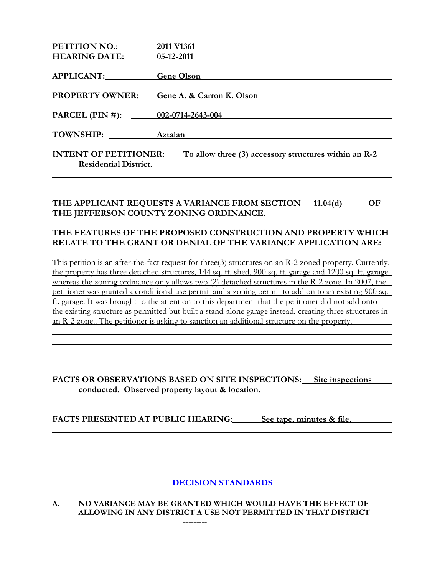| <b>PETITION NO.:</b>                                                               | 2011 V1361                                       |
|------------------------------------------------------------------------------------|--------------------------------------------------|
| <b>HEARING DATE:</b> 05-12-2011                                                    |                                                  |
|                                                                                    |                                                  |
| APPLICANT:                                                                         | <b>Gene Olson</b>                                |
|                                                                                    |                                                  |
|                                                                                    | <b>PROPERTY OWNER:</b> Gene A. & Carron K. Olson |
|                                                                                    |                                                  |
| PARCEL (PIN #): $002-0714-2643-004$                                                |                                                  |
| TOWNSHIP: Aztalan                                                                  |                                                  |
|                                                                                    |                                                  |
| <b>INTENT OF PETITIONER:</b> To allow three (3) accessory structures within an R-2 |                                                  |
| <b>Residential District.</b>                                                       |                                                  |
|                                                                                    |                                                  |

#### THE APPLICANT REQUESTS A VARIANCE FROM SECTION 11.04(d) OF **THE JEFFERSON COUNTY ZONING ORDINANCE.**

#### **THE FEATURES OF THE PROPOSED CONSTRUCTION AND PROPERTY WHICH RELATE TO THE GRANT OR DENIAL OF THE VARIANCE APPLICATION ARE:**

This petition is an after-the-fact request for three(3) structures on an R-2 zoned property. Currently, the property has three detached structures, 144 sq. ft. shed, 900 sq. ft. garage and 1200 sq. ft. garage whereas the zoning ordinance only allows two (2) detached structures in the R-2 zone. In 2007, the petitioner was granted a conditional use permit and a zoning permit to add on to an existing 900 sq. ft. garage. It was brought to the attention to this department that the petitioner did not add onto the existing structure as permitted but built a stand-alone garage instead, creating three structures in an R-2 zone.. The petitioner is asking to sanction an additional structure on the property.

#### **FACTS OR OBSERVATIONS BASED ON SITE INSPECTIONS: Site inspections <u>conducted. Observed property layout & location.</u>**  $\blacksquare$

FACTS PRESENTED AT PUBLIC HEARING: See tape, minutes & file.

### **DECISION STANDARDS**

#### **A. NO VARIANCE MAY BE GRANTED WHICH WOULD HAVE THE EFFECT OF ALLOWING IN ANY DISTRICT A USE NOT PERMITTED IN THAT DISTRICT ---------**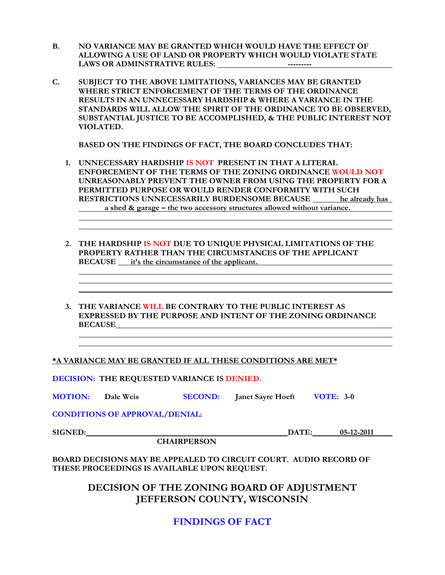- **B. NO VARIANCE MAY BE GRANTED WHICH WOULD HAVE THE EFFECT OF ALLOWING A USE OF LAND OR PROPERTY WHICH WOULD VIOLATE STATE**  LAWS OR ADMINSTRATIVE RULES: **All any SCHOOL CONSTRATIVE RULES**:
- **C. SUBJECT TO THE ABOVE LIMITATIONS, VARIANCES MAY BE GRANTED WHERE STRICT ENFORCEMENT OF THE TERMS OF THE ORDINANCE RESULTS IN AN UNNECESSARY HARDSHIP & WHERE A VARIANCE IN THE STANDARDS WILL ALLOW THE SPIRIT OF THE ORDINANCE TO BE OBSERVED, SUBSTANTIAL JUSTICE TO BE ACCOMPLISHED, & THE PUBLIC INTEREST NOT VIOLATED.**

 **BASED ON THE FINDINGS OF FACT, THE BOARD CONCLUDES THAT:** 

- **1. UNNECESSARY HARDSHIP IS NOT PRESENT IN THAT A LITERAL ENFORCEMENT OF THE TERMS OF THE ZONING ORDINANCE WOULD NOT UNREASONABLY PREVENT THE OWNER FROM USING THE PROPERTY FOR A PERMITTED PURPOSE OR WOULD RENDER CONFORMITY WITH SUCH RESTRICTIONS UNNECESSARILY BURDENSOME BECAUSE he already has e** a shed & garage – the two accessory structures allowed without variance.
- **2. THE HARDSHIP IS NOT DUE TO UNIQUE PHYSICAL LIMITATIONS OF THE PROPERTY RATHER THAN THE CIRCUMSTANCES OF THE APPLICANT BECAUSE** it's the circumstance of the applicant.
- **3. THE VARIANCE WILL BE CONTRARY TO THE PUBLIC INTEREST AS EXPRESSED BY THE PURPOSE AND INTENT OF THE ZONING ORDINANCE BECAUSE**

**\*A VARIANCE MAY BE GRANTED IF ALL THESE CONDITIONS ARE MET\***

**DECISION: THE REQUESTED VARIANCE IS DENIED.** 

**MOTION:** Dale Weis **SECOND:** Janet Sayre Hoeft **VOTE: 3-0** 

**CONDITIONS OF APPROVAL/DENIAL:** 

**SIGNED: DATE:** 05-12-2011

 **CHAIRPERSON** 

**BOARD DECISIONS MAY BE APPEALED TO CIRCUIT COURT. AUDIO RECORD OF THESE PROCEEDINGS IS AVAILABLE UPON REQUEST.** 

> **DECISION OF THE ZONING BOARD OF ADJUSTMENT JEFFERSON COUNTY, WISCONSIN**

> > **FINDINGS OF FACT**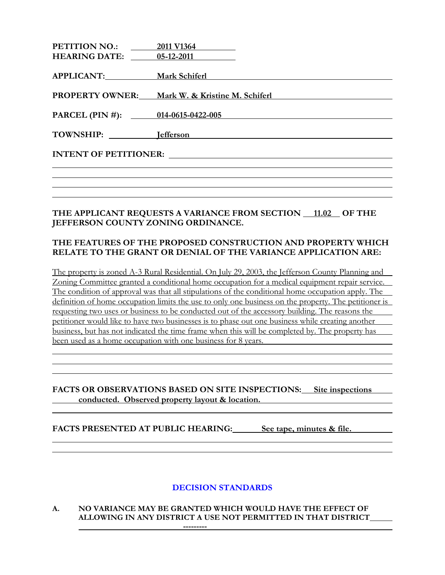| <b>PETITION NO.:</b><br><b>HEARING DATE:</b> 05-12-2011 | 2011 V1364                                                      |
|---------------------------------------------------------|-----------------------------------------------------------------|
| APPLICANT:                                              | <b>Mark Schiferl</b>                                            |
|                                                         | <b>PROPERTY OWNER:</b> Mark W. & Kristine M. Schiferl           |
| PARCEL (PIN #): 014-0615-0422-005                       |                                                                 |
| TOWNSHIP: lefferson                                     | <u> 1989 - John Stein, Amerikaansk konstantinopler († 1989)</u> |
|                                                         |                                                                 |
|                                                         |                                                                 |
|                                                         |                                                                 |

#### THE APPLICANT REQUESTS A VARIANCE FROM SECTION 11.02 OF THE **JEFFERSON COUNTY ZONING ORDINANCE.**

#### **THE FEATURES OF THE PROPOSED CONSTRUCTION AND PROPERTY WHICH RELATE TO THE GRANT OR DENIAL OF THE VARIANCE APPLICATION ARE:**

The property is zoned A-3 Rural Residential. On July 29, 2003, the Jefferson County Planning and Zoning Committee granted a conditional home occupation for a medical equipment repair service. The condition of approval was that all stipulations of the conditional home occupation apply. The definition of home occupation limits the use to only one business on the property. The petitioner is requesting two uses or business to be conducted out of the accessory building. The reasons the petitioner would like to have two businesses is to phase out one business while creating another business, but has not indicated the time frame when this will be completed by. The property has been used as a home occupation with one business for 8 years.

### **FACTS OR OBSERVATIONS BASED ON SITE INSPECTIONS: Site inspections conducted. Observed property layout & location.**

FACTS PRESENTED AT PUBLIC HEARING: See tape, minutes & file.

### **DECISION STANDARDS**

#### **A. NO VARIANCE MAY BE GRANTED WHICH WOULD HAVE THE EFFECT OF ALLOWING IN ANY DISTRICT A USE NOT PERMITTED IN THAT DISTRICT**

 **---------**